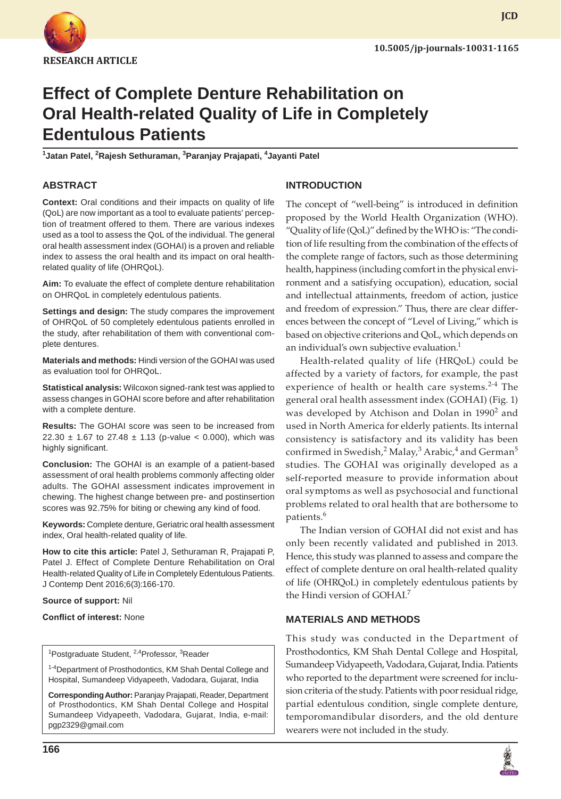

# **Effect of Complete Denture Rehabilitation on Oral Health-related Quality of Life in Completely Edentulous Patients**

**1 Jatan Patel, 2 Rajesh Sethuraman, <sup>3</sup> Paranjay Prajapati, <sup>4</sup> Jayanti Patel**

### **ABSTRACT**

**Context:** Oral conditions and their impacts on quality of life (QoL) are now important as a tool to evaluate patients' perception of treatment offered to them. There are various indexes used as a tool to assess the QoL of the individual. The general oral health assessment index (GOHAI) is a proven and reliable index to assess the oral health and its impact on oral healthrelated quality of life (OHRQoL).

**Aim:** To evaluate the effect of complete denture rehabilitation on OHRQoL in completely edentulous patients.

**Settings and design:** The study compares the improvement of OHRQoL of 50 completely edentulous patients enrolled in the study, after rehabilitation of them with conventional complete dentures.

**Materials and methods:** Hindi version of the GOHAI was used as evaluation tool for OHRQoL.

**Statistical analysis:** Wilcoxon signed-rank test was applied to assess changes in GOHAI score before and after rehabilitation with a complete denture.

**Results:** The GOHAI score was seen to be increased from 22.30  $\pm$  1.67 to 27.48  $\pm$  1.13 (p-value < 0.000), which was highly significant.

**Conclusion:** The GOHAI is an example of a patient-based assessment of oral health problems commonly affecting older adults. The GOHAI assessment indicates improvement in chewing. The highest change between pre- and postinsertion scores was 92.75% for biting or chewing any kind of food.

**Keywords:** Complete denture, Geriatric oral health assessment index, Oral health-related quality of life.

**How to cite this article:** Patel J, Sethuraman R, Prajapati P, Patel J. Effect of Complete Denture Rehabilitation on Oral Health-related Quality of Life in Completely Edentulous Patients. J Contemp Dent 2016;6(3):166-170.

**Source of support:** Nil

**Conflict of interest:** None

<sup>1</sup>Postgraduate Student, <sup>2,4</sup>Professor, <sup>3</sup>Reader

<sup>1-4</sup>Department of Prosthodontics, KM Shah Dental College and Hospital, Sumandeep Vidyapeeth, Vadodara, Gujarat, India

**Corresponding Author:** Paranjay Prajapati, Reader, Department of Prosthodontics, KM Shah Dental College and Hospital Sumandeep Vidyapeeth, Vadodara, Gujarat, India, e-mail: pgp2329@gmail.com

# **INTRODUCTION**

The concept of "well-being" is introduced in definition proposed by the World Health Organization (WHO). "Quality of life (QoL)" defined by the WHO is: "The condition of life resulting from the combination of the effects of the complete range of factors, such as those determining health, happiness (including comfort in the physical environment and a satisfying occupation), education, social and intellectual attainments, freedom of action, justice and freedom of expression." Thus, there are clear differences between the concept of "Level of Living," which is based on objective criterions and QoL, which depends on an individual's own subjective evaluation.<sup>1</sup>

Health-related quality of life (HRQoL) could be affected by a variety of factors, for example, the past experience of health or health care systems.<sup>2-4</sup> The general oral health assessment index (GOHAI) (Fig. 1) was developed by Atchison and Dolan in 1990<sup>2</sup> and used in North America for elderly patients. Its internal consistency is satisfactory and its validity has been confirmed in Swedish,<sup>2</sup> Malay,<sup>3</sup> Arabic,<sup>4</sup> and German<sup>5</sup> studies. The GOHAI was originally developed as a self-reported measure to provide information about oral symptoms as well as psychosocial and functional problems related to oral health that are bothersome to patients.<sup>6</sup>

The Indian version of GOHAI did not exist and has only been recently validated and published in 2013. Hence, this study was planned to assess and compare the effect of complete denture on oral health-related quality of life (OHRQoL) in completely edentulous patients by the Hindi version of GOHAI.<sup>7</sup>

#### **MATERIALS AND METHODS**

This study was conducted in the Department of Prosthodontics, KM Shah Dental College and Hospital, Sumandeep Vidyapeeth, Vadodara, Gujarat, India. Patients who reported to the department were screened for inclusion criteria of the study. Patients with poor residual ridge, partial edentulous condition, single complete denture, temporomandibular disorders, and the old denture wearers were not included in the study.

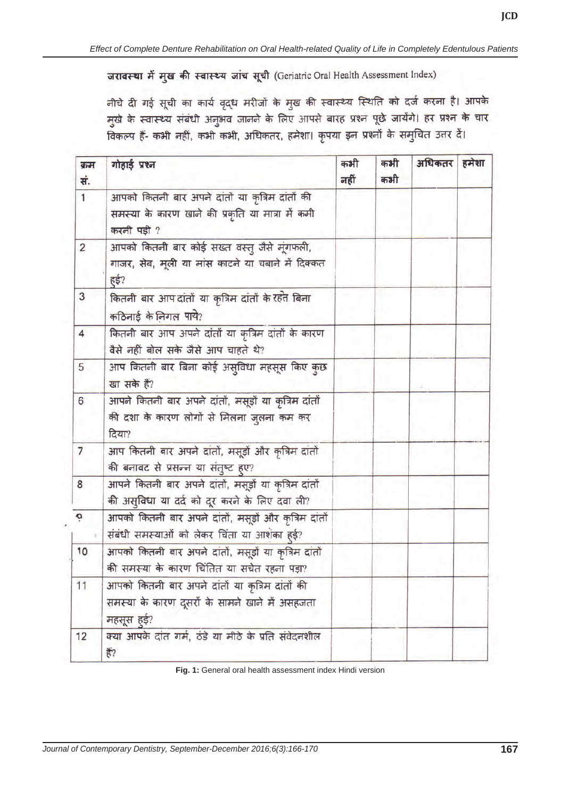जरावस्था में मुख की स्वास्थ्य जांच सूची (Geriatric Oral Health Assessment Index)

नीचे दी गई सूची का कार्य वृद्ध मरीजों के मुख की स्वास्थ्य स्थिति को दर्ज करना है। आपके मुखे के स्वास्थ्य संबंधी अनुभव जानने के लिए आपसे बारह प्रश्न पूछे जायेंगे। हर प्रश्न के चार -<br>विकल्प हैं- कभी नहीं, कभी कभी, अधिकतर, हमेशा। कृपया इन प्रश्नों के समुचित उत्तर दें।

| क्रम<br>सं.    | गोहाई प्रश्न                                                                                                    | कभी<br>नहीं | कभी<br>कभी | अधिकतर | हमेशा |
|----------------|-----------------------------------------------------------------------------------------------------------------|-------------|------------|--------|-------|
| $\mathbf{1}$   | आपको कितनी बार अपने दांतों या कृत्रिम दांतों की<br>समस्या के कारण खाने की प्रकृति या मात्रा में कमी             |             |            |        |       |
|                | करनी पड़ी ?                                                                                                     |             |            |        |       |
| $\overline{2}$ | आपको कितनी बार कोई सख्त वस्तु जैसे मूंगफली,<br>गाजर, सेब, मूली या मांस काटने या चबाने में दिक्कत<br>हुई?        |             |            |        |       |
| 3              | कितनी बार आपदांतों या कृत्रिम दांतों के रहते बिना<br>कठिनाई के निगल पाये?                                       |             |            |        |       |
| $\overline{4}$ | कितनी बार आप अपने दांतों या कृत्रिम दांतों के कारण<br>वैसे नहीं बोल सके जैसे आप चाहते थे?                       |             |            |        |       |
| 5              | आप कितनी बार बिना कोई असुविधा महसूस किए कुछ<br>खा सके हैं?                                                      |             |            |        |       |
| 6              | आपने कितनी बार अपने दांतों, मसूड़ों या कृत्रिम दांतों<br>की दशा के कारण लोगों से मिलना जुलना कम कर<br>दिया?     |             |            |        |       |
| $\overline{7}$ | आप कितनी बार अपने दांतों, मसूड़ों और कृत्रिम दांतों<br>की बनावट से प्रसन्न या संतुष्ट हुए?                      |             |            |        |       |
| 8              | आपने कितनी बार अपने दांतों, मसूड़ों या कृत्रिम दांतों<br>की असुविधा या दर्द को दूर करने के लिए दवा ली?          |             |            |        |       |
| ö              | आपको कितनी बार अपने दांतों, मसूड़ों और कृत्रिम दांतों<br>संबंधी समस्याओं को लेकर चिंता या आशंका हुई?            |             |            |        |       |
| 10             | आपको कितनी बार अपने दांतों, मसूड़ों या कृत्रिम दांतों<br>की समस्या के कारण चिंतित या सचेत रहना पड़ा?            |             |            |        |       |
| 11             | आपको कितनी बार अपने दांतों या कृत्रिम दांतों की<br>समस्या के कारण दूसरों के सामने खाने में असहजता<br>महसूस हुई? |             |            |        |       |
| 12             | क्या आपके दांत गर्म, ठंडे या मीठे के प्रति संवेदनशील<br>$\frac{1}{6}$                                           |             |            |        |       |

**Fig. 1:** General oral health assessment index Hindi version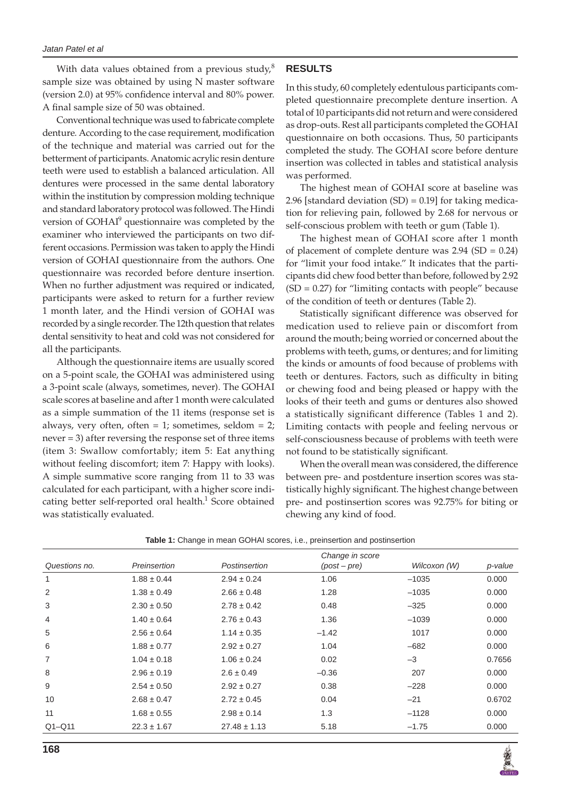With data values obtained from a previous study, $8$ sample size was obtained by using N master software (version 2.0) at 95% confidence interval and 80% power. A final sample size of 50 was obtained.

Conventional technique was used to fabricate complete denture. According to the case requirement, modification of the technique and material was carried out for the betterment of participants. Anatomic acrylic resin denture teeth were used to establish a balanced articulation. All dentures were processed in the same dental laboratory within the institution by compression molding technique and standard laboratory protocol was followed. The Hindi version of GOHAI<sup>9</sup> questionnaire was completed by the examiner who interviewed the participants on two different occasions. Permission was taken to apply the Hindi version of GOHAI questionnaire from the authors. One questionnaire was recorded before denture insertion. When no further adjustment was required or indicated, participants were asked to return for a further review 1 month later, and the Hindi version of GOHAI was recorded by a single recorder. The 12th question that relates dental sensitivity to heat and cold was not considered for all the participants.

Although the questionnaire items are usually scored on a 5-point scale, the GOHAI was administered using a 3-point scale (always, sometimes, never). The GOHAI scale scores at baseline and after 1 month were calculated as a simple summation of the 11 items (response set is always, very often, often = 1; sometimes, seldom = 2; never = 3) after reversing the response set of three items (item 3: Swallow comfortably; item 5: Eat anything without feeling discomfort; item 7: Happy with looks). A simple summative score ranging from 11 to 33 was calculated for each participant, with a higher score indicating better self-reported oral health.<sup>1</sup> Score obtained was statistically evaluated.

#### **RESULTS**

In this study, 60 completely edentulous participants completed questionnaire precomplete denture insertion. A total of 10 participants did not return and were considered as drop-outs. Rest all participants completed the GOHAI questionnaire on both occasions. Thus, 50 participants completed the study. The GOHAI score before denture insertion was collected in tables and statistical analysis was performed.

The highest mean of GOHAI score at baseline was 2.96 [standard deviation (SD) = 0.19] for taking medication for relieving pain, followed by 2.68 for nervous or self-conscious problem with teeth or gum (Table 1).

The highest mean of GOHAI score after 1 month of placement of complete denture was  $2.94$  (SD = 0.24) for "limit your food intake." It indicates that the participants did chew food better than before, followed by 2.92  $(SD = 0.27)$  for "limiting contacts with people" because of the condition of teeth or dentures (Table 2).

Statistically significant difference was observed for medication used to relieve pain or discomfort from around the mouth; being worried or concerned about the problems with teeth, gums, or dentures; and for limiting the kinds or amounts of food because of problems with teeth or dentures. Factors, such as difficulty in biting or chewing food and being pleased or happy with the looks of their teeth and gums or dentures also showed a statistically significant difference (Tables 1 and 2). Limiting contacts with people and feeling nervous or self-consciousness because of problems with teeth were not found to be statistically significant.

When the overall mean was considered, the difference between pre- and postdenture insertion scores was statistically highly significant. The highest change between pre- and postinsertion scores was 92.75% for biting or chewing any kind of food.

|                |                 |                  | Change in score |              |         |
|----------------|-----------------|------------------|-----------------|--------------|---------|
| Questions no.  | Preinsertion    | Postinsertion    | $(post-pre)$    | Wilcoxon (W) | p-value |
| 1              | $1.88 \pm 0.44$ | $2.94 \pm 0.24$  | 1.06            | $-1035$      | 0.000   |
| 2              | $1.38 \pm 0.49$ | $2.66 \pm 0.48$  | 1.28            | $-1035$      | 0.000   |
| 3              | $2.30 \pm 0.50$ | $2.78 \pm 0.42$  | 0.48            | $-325$       | 0.000   |
| $\overline{4}$ | $1.40 \pm 0.64$ | $2.76 \pm 0.43$  | 1.36            | $-1039$      | 0.000   |
| 5              | $2.56 \pm 0.64$ | $1.14 \pm 0.35$  | $-1.42$         | 1017         | 0.000   |
| 6              | $1.88 \pm 0.77$ | $2.92 \pm 0.27$  | 1.04            | $-682$       | 0.000   |
| $\overline{7}$ | $1.04 \pm 0.18$ | $1.06 \pm 0.24$  | 0.02            | $-3$         | 0.7656  |
| 8              | $2.96 \pm 0.19$ | $2.6 \pm 0.49$   | $-0.36$         | 207          | 0.000   |
| 9              | $2.54 \pm 0.50$ | $2.92 \pm 0.27$  | 0.38            | $-228$       | 0.000   |
| 10             | $2.68 \pm 0.47$ | $2.72 \pm 0.45$  | 0.04            | $-21$        | 0.6702  |
| 11             | $1.68 \pm 0.55$ | $2.98 \pm 0.14$  | 1.3             | $-1128$      | 0.000   |
| $Q1 - Q11$     | $22.3 \pm 1.67$ | $27.48 \pm 1.13$ | 5.18            | $-1.75$      | 0.000   |

**Table 1:** Change in mean GOHAI scores, i.e., preinsertion and postinsertion

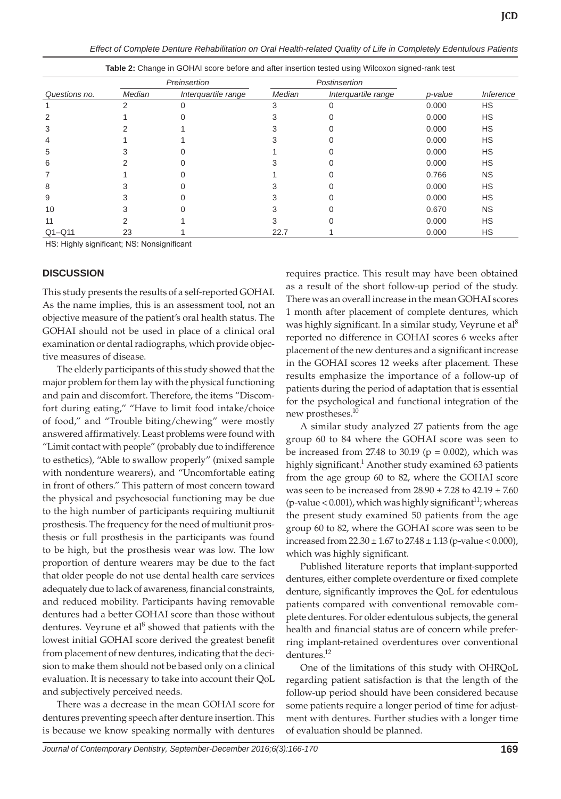|               | Preinsertion |                     | Postinsertion |                     |         |                         |
|---------------|--------------|---------------------|---------------|---------------------|---------|-------------------------|
| Questions no. | Median       | Interquartile range | Median        | Interquartile range | p-value | <i><b>Inference</b></i> |
|               |              |                     |               |                     | 0.000   | <b>HS</b>               |
| 2             |              |                     |               |                     | 0.000   | <b>HS</b>               |
| 3             |              |                     |               |                     | 0.000   | <b>HS</b>               |
| 4             |              |                     |               |                     | 0.000   | <b>HS</b>               |
| 5             |              |                     |               |                     | 0.000   | <b>HS</b>               |
| 6             |              |                     |               |                     | 0.000   | <b>HS</b>               |
|               |              |                     |               |                     | 0.766   | <b>NS</b>               |
| 8             |              |                     |               |                     | 0.000   | <b>HS</b>               |
| 9             |              |                     |               |                     | 0.000   | <b>HS</b>               |
| 10            |              |                     |               |                     | 0.670   | <b>NS</b>               |
| 11            |              |                     |               |                     | 0.000   | <b>HS</b>               |
| $Q1 - Q11$    | 23           |                     | 22.7          |                     | 0.000   | HS                      |

**Table 2:** Change in GOHAI score before and after insertion tested using Wilcoxon signed-rank test

HS: Highly significant; NS: Nonsignificant

#### **DISCUSSION**

This study presents the results of a self-reported GOHAI. As the name implies, this is an assessment tool, not an objective measure of the patient's oral health status. The GOHAI should not be used in place of a clinical oral examination or dental radiographs, which provide objective measures of disease.

The elderly participants of this study showed that the major problem for them lay with the physical functioning and pain and discomfort. Therefore, the items "Discomfort during eating," "Have to limit food intake/choice of food," and "Trouble biting/chewing" were mostly answered affirmatively. Least problems were found with "Limit contact with people" (probably due to indifference to esthetics), "Able to swallow properly" (mixed sample with nondenture wearers), and "Uncomfortable eating in front of others." This pattern of most concern toward the physical and psychosocial functioning may be due to the high number of participants requiring multiunit prosthesis. The frequency for the need of multiunit prosthesis or full prosthesis in the participants was found to be high, but the prosthesis wear was low. The low proportion of denture wearers may be due to the fact that older people do not use dental health care services adequately due to lack of awareness, financial constraints, and reduced mobility. Participants having removable dentures had a better GOHAI score than those without dentures. Veyrune et al<sup>8</sup> showed that patients with the lowest initial GOHAI score derived the greatest benefit from placement of new dentures, indicating that the decision to make them should not be based only on a clinical evaluation. It is necessary to take into account their QoL and subjectively perceived needs.

There was a decrease in the mean GOHAI score for dentures preventing speech after denture insertion. This is because we know speaking normally with dentures requires practice. This result may have been obtained as a result of the short follow-up period of the study. There was an overall increase in the mean GOHAI scores 1 month after placement of complete dentures, which was highly significant. In a similar study, Veyrune et al $^8$ reported no difference in GOHAI scores 6 weeks after placement of the new dentures and a significant increase in the GOHAI scores 12 weeks after placement. These results emphasize the importance of a follow-up of patients during the period of adaptation that is essential for the psychological and functional integration of the new prostheses.<sup>10</sup>

A similar study analyzed 27 patients from the age group 60 to 84 where the GOHAI score was seen to be increased from 27.48 to 30.19 ( $p = 0.002$ ), which was highly significant. $^1$  Another study examined 63 patients from the age group 60 to 82, where the GOHAI score was seen to be increased from  $28.90 \pm 7.28$  to  $42.19 \pm 7.60$ (p-value < 0.001), which was highly significant<sup>11</sup>; whereas the present study examined 50 patients from the age group 60 to 82, where the GOHAI score was seen to be increased from  $22.30 \pm 1.67$  to  $27.48 \pm 1.13$  (p-value < 0.000), which was highly significant.

Published literature reports that implant-supported dentures, either complete overdenture or fixed complete denture, significantly improves the QoL for edentulous patients compared with conventional removable complete dentures. For older edentulous subjects, the general health and financial status are of concern while preferring implant-retained overdentures over conventional dentures.<sup>12</sup>

One of the limitations of this study with OHRQoL regarding patient satisfaction is that the length of the follow-up period should have been considered because some patients require a longer period of time for adjustment with dentures. Further studies with a longer time of evaluation should be planned.